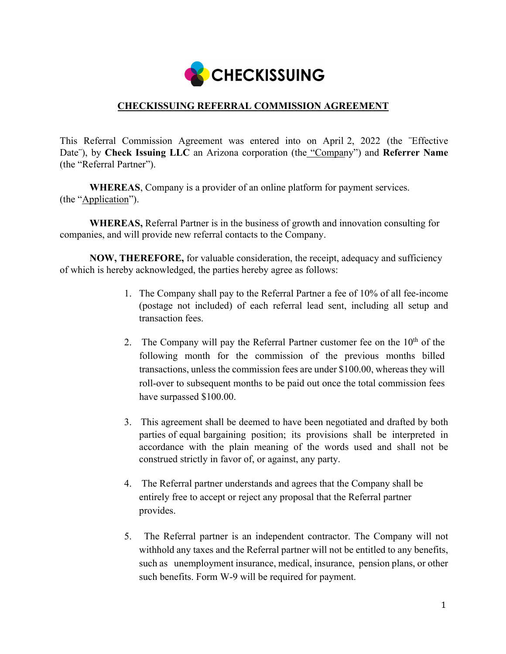

## **CHECKISSUING REFERRAL COMMISSION AGREEMENT**

This Referral Commission Agreement was entered into on April 2, 2022 (the ¨Effective Date"), by **Check Issuing LLC** an Arizona corporation (the "Company") and **Referrer Name** (the "Referral Partner").

**WHEREAS**, Company is a provider of an online platform for payment services. (the "Application").

**WHEREAS,** Referral Partner is in the business of growth and innovation consulting for companies, and will provide new referral contacts to the Company.

**NOW, THEREFORE,** for valuable consideration, the receipt, adequacy and sufficiency of which is hereby acknowledged, the parties hereby agree as follows:

- 1. The Company shall pay to the Referral Partner a fee of 10% of all fee-income (postage not included) of each referral lead sent, including all setup and transaction fees.
- 2. The Company will pay the Referral Partner customer fee on the  $10<sup>th</sup>$  of the following month for the commission of the previous months billed transactions, unless the commission fees are under \$100.00, whereas they will roll-over to subsequent months to be paid out once the total commission fees have surpassed \$100.00.
- 3. This agreement shall be deemed to have been negotiated and drafted by both parties of equal bargaining position; its provisions shall be interpreted in accordance with the plain meaning of the words used and shall not be construed strictly in favor of, or against, any party.
- 4. The Referral partner understands and agrees that the Company shall be entirely free to accept or reject any proposal that the Referral partner provides.
- 5. The Referral partner is an independent contractor. The Company will not withhold any taxes and the Referral partner will not be entitled to any benefits, such as unemployment insurance, medical, insurance, pension plans, or other such benefits. Form W-9 will be required for payment.